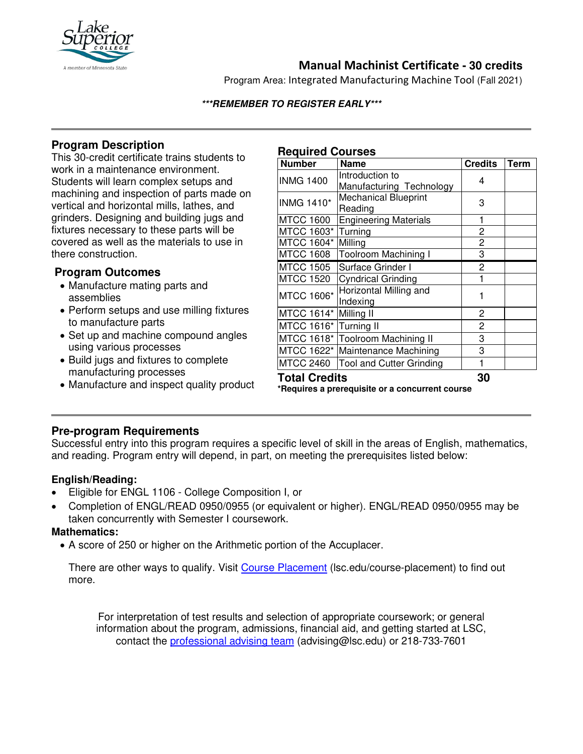

# **Manual Machinist Certificate - 30 credits**

Program Area: Integrated Manufacturing Machine Tool (Fall 2021)

#### **\*\*\*REMEMBER TO REGISTER EARLY\*\*\***

## **Program Description**

This 30-credit certificate trains students to work in a maintenance environment. Students will learn complex setups and machining and inspection of parts made on vertical and horizontal mills, lathes, and grinders. Designing and building jugs and fixtures necessary to these parts will be covered as well as the materials to use in there construction.

## **Program Outcomes**

- Manufacture mating parts and assemblies
- Perform setups and use milling fixtures to manufacture parts
- Set up and machine compound angles using various processes
- Build jugs and fixtures to complete manufacturing processes
- Manufacture and inspect quality product

## **Required Courses**

| <b>Number</b>                                                           | <b>Name</b>                                 | <b>Credits</b> | <b>Term</b> |
|-------------------------------------------------------------------------|---------------------------------------------|----------------|-------------|
| <b>INMG 1400</b>                                                        | Introduction to<br>Manufacturing Technology | 4              |             |
| <b>INMG 1410*</b>                                                       | <b>Mechanical Blueprint</b><br>Reading      | 3              |             |
| <b>MTCC 1600</b>                                                        | <b>Engineering Materials</b>                | 1              |             |
| MTCC 1603*                                                              | Turning                                     | 2              |             |
| MTCC 1604*                                                              | Milling                                     | 2              |             |
| <b>MTCC 1608</b>                                                        | Toolroom Machining I                        | 3              |             |
| <b>MTCC 1505</b>                                                        | Surface Grinder I                           | 2              |             |
| <b>MTCC 1520</b>                                                        | <b>Cyndrical Grinding</b>                   | 1              |             |
| <b>MTCC 1606*</b>                                                       | Horizontal Milling and<br>Indexing          | 1              |             |
| MTCC 1614*                                                              | Milling II                                  | 2              |             |
| MTCC 1616* Turning II                                                   |                                             | $\overline{c}$ |             |
|                                                                         | MTCC 1618* Toolroom Machining II            | 3              |             |
|                                                                         | MTCC 1622* Maintenance Machining            | 3              |             |
| <b>MTCC 2460</b>                                                        | <b>Tool and Cutter Grinding</b>             | 1              |             |
| <b>Total Credits</b><br>*Requires a prerequisite or a concurrent course | 30                                          |                |             |

## **Pre-program Requirements**

Successful entry into this program requires a specific level of skill in the areas of English, mathematics, and reading. Program entry will depend, in part, on meeting the prerequisites listed below:

## **English/Reading:**

- Eligible for ENGL 1106 College Composition I, or
- Completion of ENGL/READ 0950/0955 (or equivalent or higher). ENGL/READ 0950/0955 may be taken concurrently with Semester I coursework.

#### **Mathematics:**

• A score of 250 or higher on the Arithmetic portion of the Accuplacer.

There are other ways to qualify. Visit [Course Placement](https://www.lsc.edu/course-placement/) (lsc.edu/course-placement) to find out more.

For interpretation of test results and selection of appropriate coursework; or general information about the program, admissions, financial aid, and getting started at LSC, contact the [professional advising team](mailto:advising@lsc.edu) (advising@lsc.edu) or 218-733-7601